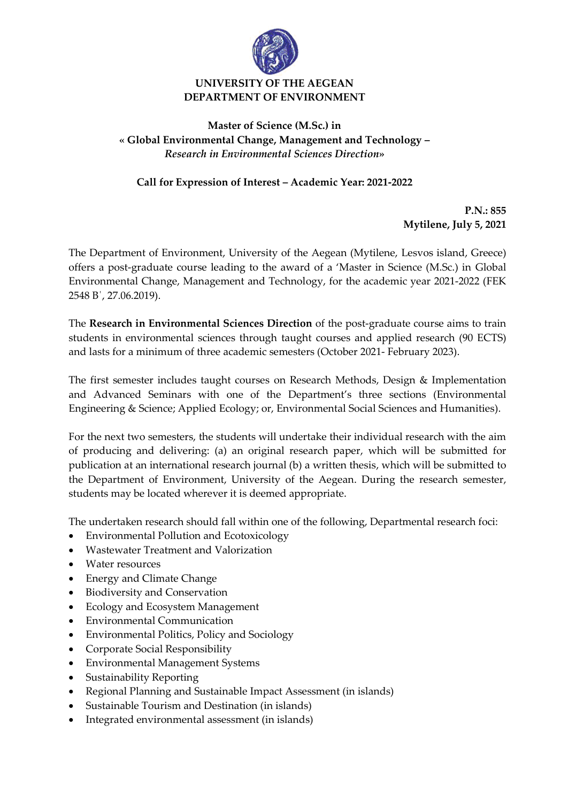

## **UNIVERSITY OF THE AEGEAN DEPARTMENT OF ENVIRONMENT**

## **Master of Science (M.Sc.) in « Global Environmental Change, Management and Technology –** *Research in Environmental Sciences Direction***»**

**Call for Expression of Interest – Academic Year: 2021-2022**

**P.N.: 855 Mytilene, July 5, 2021**

The Department of Environment, University of the Aegean (Mytilene, Lesvos island, Greece) offers a post-graduate course leading to the award of a 'Master in Science (M.Sc.) in Global Environmental Change, Management and Technology, for the academic year 2021-2022 (FEK 2548 Β΄, 27.06.2019).

The **Research in Environmental Sciences Direction** of the post-graduate course aims to train students in environmental sciences through taught courses and applied research (90 ECTS) and lasts for a minimum of three academic semesters (October 2021- February 2023).

The first semester includes taught courses on Research Methods, Design & Implementation and Advanced Seminars with one of the Department's three sections (Environmental Engineering & Science; Applied Ecology; or, Environmental Social Sciences and Humanities).

For the next two semesters, the students will undertake their individual research with the aim of producing and delivering: (a) an original research paper, which will be submitted for publication at an international research journal (b) a written thesis, which will be submitted to the Department of Environment, University of the Aegean. During the research semester, students may be located wherever it is deemed appropriate.

The undertaken research should fall within one of the following, Departmental research foci:

- Environmental Pollution and Ecotoxicology
- Wastewater Treatment and Valorization
- Water resources
- Energy and Climate Change
- Biodiversity and Conservation
- Ecology and Ecosystem Management
- Environmental Communication
- Environmental Politics, Policy and Sociology
- Corporate Social Responsibility
- Environmental Management Systems
- Sustainability Reporting
- Regional Planning and Sustainable Impact Assessment (in islands)
- Sustainable Tourism and Destination (in islands)
- Integrated environmental assessment (in islands)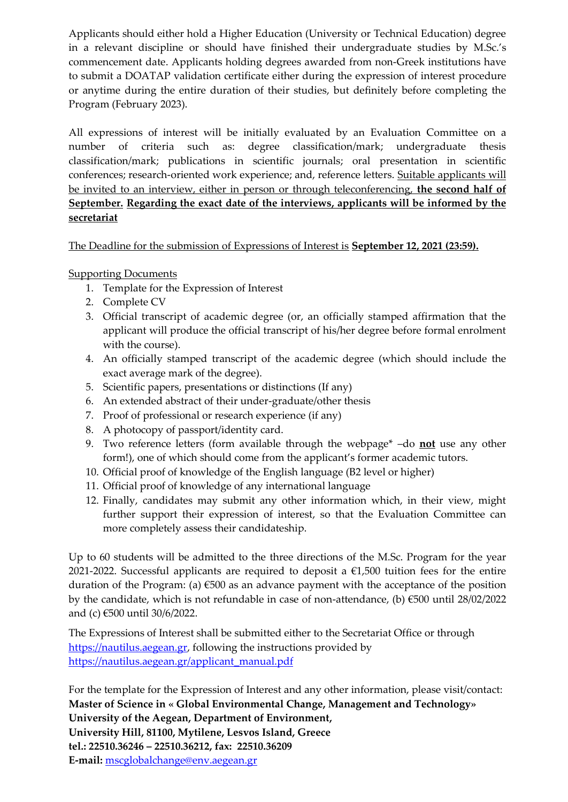Applicants should either hold a Higher Education (University or Technical Education) degree in a relevant discipline or should have finished their undergraduate studies by M.Sc.'s commencement date. Applicants holding degrees awarded from non-Greek institutions have to submit a DOATAP validation certificate either during the expression of interest procedure or anytime during the entire duration of their studies, but definitely before completing the Program (February 2023).

All expressions of interest will be initially evaluated by an Evaluation Committee on a number of criteria such as: degree classification/mark; undergraduate thesis classification/mark; publications in scientific journals; oral presentation in scientific conferences; research-oriented work experience; and, reference letters. Suitable applicants will be invited to an interview, either in person or through teleconferencing, **the second half of September. Regarding the exact date of the interviews, applicants will be informed by the secretariat**

The Deadline for the submission of Expressions of Interest is **September 12, 2021 (23:59).**

Supporting Documents

- 1. Template for the Expression of Interest
- 2. Complete CV
- 3. Official transcript of academic degree (or, an officially stamped affirmation that the applicant will produce the official transcript of his/her degree before formal enrolment with the course).
- 4. An officially stamped transcript of the academic degree (which should include the exact average mark of the degree).
- 5. Scientific papers, presentations or distinctions (If any)
- 6. An extended abstract of their under-graduate/other thesis
- 7. Proof of professional or research experience (if any)
- 8. A photocopy of passport/identity card.
- 9. Two reference letters (form available through the webpage\* –do **not** use any other form!), one of which should come from the applicant's former academic tutors.
- 10. Official proof of knowledge of the English language (B2 level or higher)
- 11. Official proof of knowledge of any international language
- 12. Finally, candidates may submit any other information which, in their view, might further support their expression of interest, so that the Evaluation Committee can more completely assess their candidateship.

Up to 60 students will be admitted to the three directions of the M.Sc. Program for the year 2021-2022. Successful applicants are required to deposit a  $\epsilon$ 1,500 tuition fees for the entire duration of the Program: (a)  $\epsilon$ 500 as an advance payment with the acceptance of the position by the candidate, which is not refundable in case of non-attendance, (b) €500 until 28/02/2022 and (c) €500 until 30/6/2022.

The Expressions of Interest shall be submitted either to the Secretariat Office or through [https://nautilus.aegean.gr,](https://nautilus.aegean.gr/) following the instructions provided by [https://nautilus.aegean.gr/applicant\\_manual.pdf](https://nautilus.aegean.gr/applicant_manual.pdf)

For the template for the Expression of Interest and any other information, please visit/contact: **Master of Science in « Global Environmental Change, Management and Technology» University of the Aegean, Department of Environment, University Hill, 81100, Mytilene, Lesvos Island, Greece tel.: 22510.36246 – 22510.36212, fax: 22510.36209 E-mail:** [mscglobalchange@env.aegean.gr](mailto:mscglobalchange@env.aegean.gr)